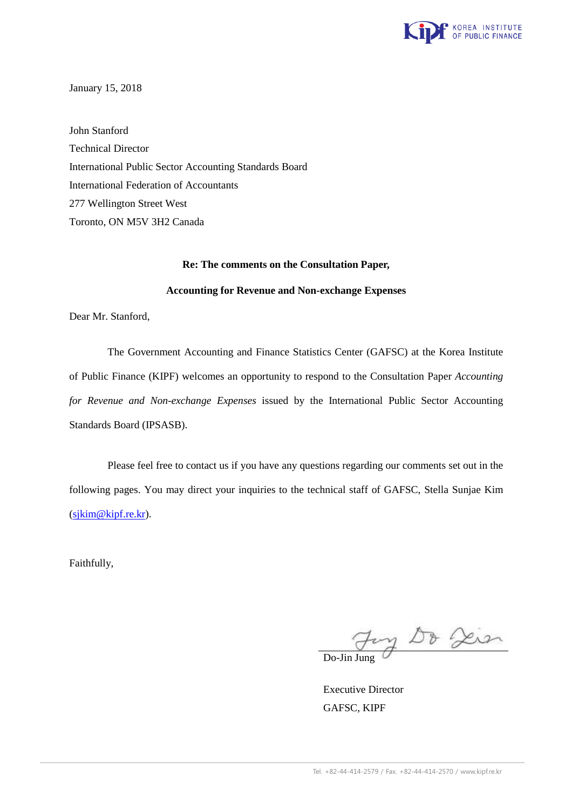

January 15, 2018

John Stanford Technical Director International Public Sector Accounting Standards Board International Federation of Accountants 277 Wellington Street West Toronto, ON M5V 3H2 Canada

#### **Re: The comments on the Consultation Paper,**

#### **Accounting for Revenue and Non-exchange Expenses**

Dear Mr. Stanford,

The Government Accounting and Finance Statistics Center (GAFSC) at the Korea Institute of Public Finance (KIPF) welcomes an opportunity to respond to the Consultation Paper *Accounting for Revenue and Non-exchange Expenses* issued by the International Public Sector Accounting Standards Board (IPSASB).

Please feel free to contact us if you have any questions regarding our comments set out in the following pages. You may direct your inquiries to the technical staff of GAFSC, Stella Sunjae Kim (sjkim@kipf.re.kr).

Faithfully,

Fory Do Die

 Executive Director GAFSC, KIPF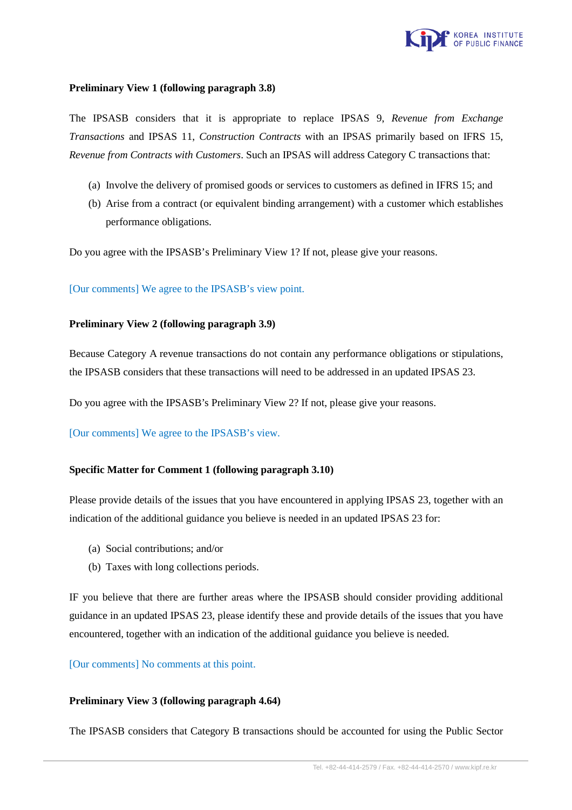

# **Preliminary View 1 (following paragraph 3.8)**

The IPSASB considers that it is appropriate to replace IPSAS 9, *Revenue from Exchange Transactions* and IPSAS 11, *Construction Contracts* with an IPSAS primarily based on IFRS 15, *Revenue from Contracts with Customers*. Such an IPSAS will address Category C transactions that:

- (a) Involve the delivery of promised goods or services to customers as defined in IFRS 15; and
- (b) Arise from a contract (or equivalent binding arrangement) with a customer which establishes performance obligations.

Do you agree with the IPSASB's Preliminary View 1? If not, please give your reasons.

### [Our comments] We agree to the IPSASB's view point.

### **Preliminary View 2 (following paragraph 3.9)**

Because Category A revenue transactions do not contain any performance obligations or stipulations, the IPSASB considers that these transactions will need to be addressed in an updated IPSAS 23.

Do you agree with the IPSASB's Preliminary View 2? If not, please give your reasons.

# [Our comments] We agree to the IPSASB's view.

# **Specific Matter for Comment 1 (following paragraph 3.10)**

Please provide details of the issues that you have encountered in applying IPSAS 23, together with an indication of the additional guidance you believe is needed in an updated IPSAS 23 for:

- (a) Social contributions; and/or
- (b) Taxes with long collections periods.

IF you believe that there are further areas where the IPSASB should consider providing additional guidance in an updated IPSAS 23, please identify these and provide details of the issues that you have encountered, together with an indication of the additional guidance you believe is needed.

[Our comments] No comments at this point.

# **Preliminary View 3 (following paragraph 4.64)**

The IPSASB considers that Category B transactions should be accounted for using the Public Sector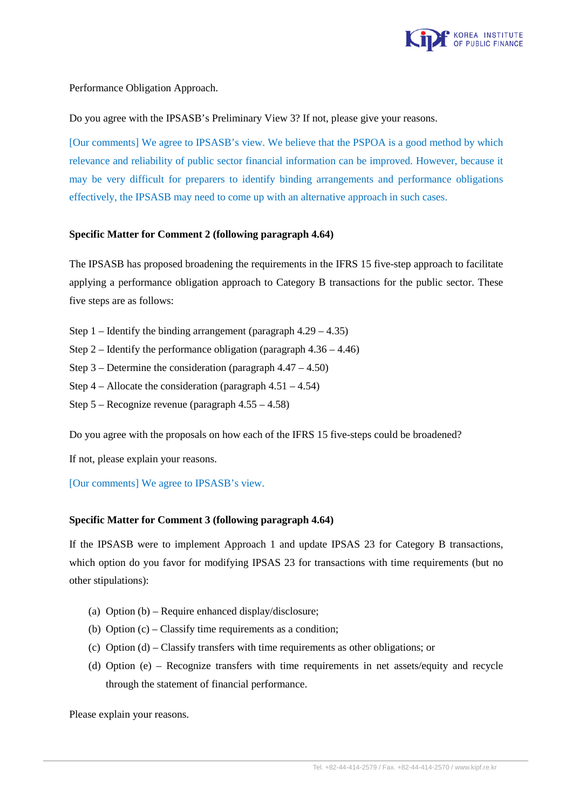

Performance Obligation Approach.

Do you agree with the IPSASB's Preliminary View 3? If not, please give your reasons.

[Our comments] We agree to IPSASB's view. We believe that the PSPOA is a good method by which relevance and reliability of public sector financial information can be improved. However, because it may be very difficult for preparers to identify binding arrangements and performance obligations effectively, the IPSASB may need to come up with an alternative approach in such cases.

# **Specific Matter for Comment 2 (following paragraph 4.64)**

The IPSASB has proposed broadening the requirements in the IFRS 15 five-step approach to facilitate applying a performance obligation approach to Category B transactions for the public sector. These five steps are as follows:

- Step  $1$  Identify the binding arrangement (paragraph  $4.29 4.35$ )
- Step 2 Identify the performance obligation (paragraph  $4.36 4.46$ )
- Step  $3$  Determine the consideration (paragraph  $4.47 4.50$ )
- Step  $4 -$  Allocate the consideration (paragraph  $4.51 4.54$ )
- Step 5 Recognize revenue (paragraph 4.55 4.58)

Do you agree with the proposals on how each of the IFRS 15 five-steps could be broadened?

If not, please explain your reasons.

[Our comments] We agree to IPSASB's view.

# **Specific Matter for Comment 3 (following paragraph 4.64)**

If the IPSASB were to implement Approach 1 and update IPSAS 23 for Category B transactions, which option do you favor for modifying IPSAS 23 for transactions with time requirements (but no other stipulations):

- (a) Option (b) Require enhanced display/disclosure;
- (b) Option  $(c)$  Classify time requirements as a condition:
- (c) Option (d) Classify transfers with time requirements as other obligations; or
- (d) Option (e) Recognize transfers with time requirements in net assets/equity and recycle through the statement of financial performance.

Please explain your reasons.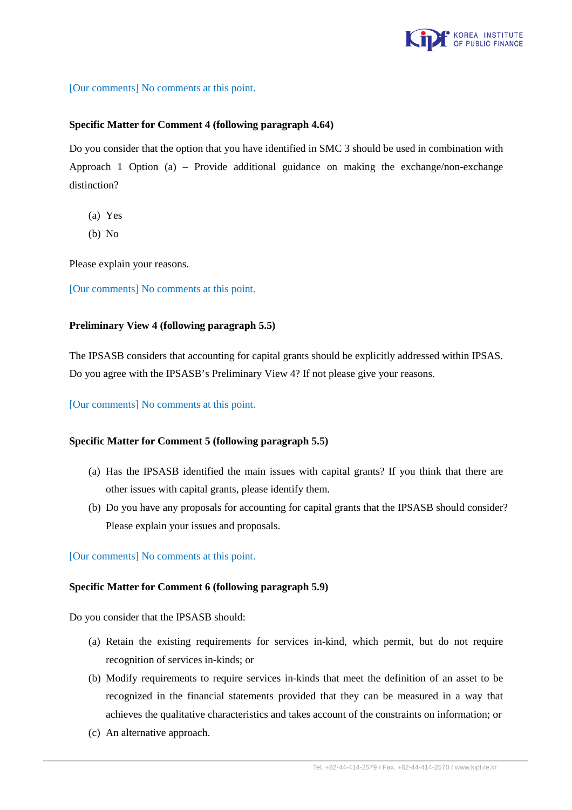

[Our comments] No comments at this point.

## **Specific Matter for Comment 4 (following paragraph 4.64)**

Do you consider that the option that you have identified in SMC 3 should be used in combination with Approach 1 Option (a) – Provide additional guidance on making the exchange/non-exchange distinction?

- (a) Yes
- (b) No

Please explain your reasons.

[Our comments] No comments at this point.

### **Preliminary View 4 (following paragraph 5.5)**

The IPSASB considers that accounting for capital grants should be explicitly addressed within IPSAS. Do you agree with the IPSASB's Preliminary View 4? If not please give your reasons.

[Our comments] No comments at this point.

### **Specific Matter for Comment 5 (following paragraph 5.5)**

- (a) Has the IPSASB identified the main issues with capital grants? If you think that there are other issues with capital grants, please identify them.
- (b) Do you have any proposals for accounting for capital grants that the IPSASB should consider? Please explain your issues and proposals.

[Our comments] No comments at this point.

#### **Specific Matter for Comment 6 (following paragraph 5.9)**

Do you consider that the IPSASB should:

- (a) Retain the existing requirements for services in-kind, which permit, but do not require recognition of services in-kinds; or
- (b) Modify requirements to require services in-kinds that meet the definition of an asset to be recognized in the financial statements provided that they can be measured in a way that achieves the qualitative characteristics and takes account of the constraints on information; or
- (c) An alternative approach.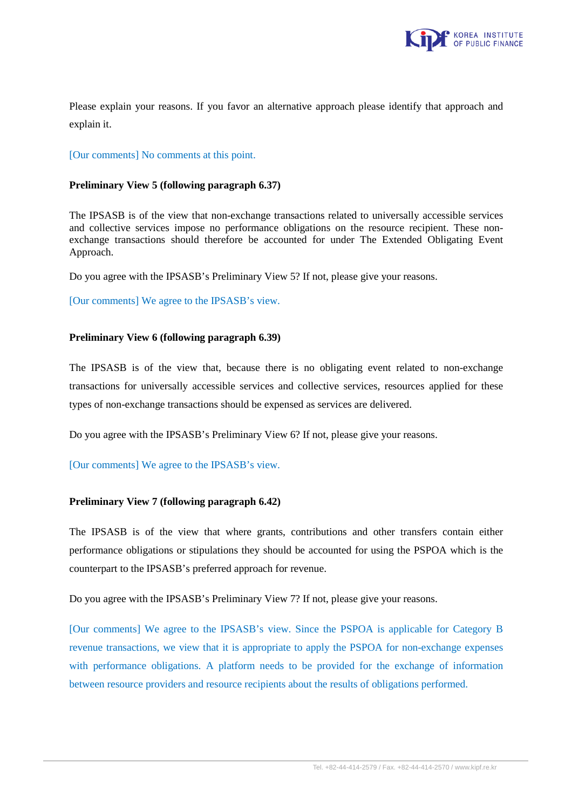

Please explain your reasons. If you favor an alternative approach please identify that approach and explain it.

[Our comments] No comments at this point.

## **Preliminary View 5 (following paragraph 6.37)**

The IPSASB is of the view that non-exchange transactions related to universally accessible services and collective services impose no performance obligations on the resource recipient. These nonexchange transactions should therefore be accounted for under The Extended Obligating Event Approach.

Do you agree with the IPSASB's Preliminary View 5? If not, please give your reasons.

[Our comments] We agree to the IPSASB's view.

### **Preliminary View 6 (following paragraph 6.39)**

The IPSASB is of the view that, because there is no obligating event related to non-exchange transactions for universally accessible services and collective services, resources applied for these types of non-exchange transactions should be expensed as services are delivered.

Do you agree with the IPSASB's Preliminary View 6? If not, please give your reasons.

[Our comments] We agree to the IPSASB's view.

# **Preliminary View 7 (following paragraph 6.42)**

The IPSASB is of the view that where grants, contributions and other transfers contain either performance obligations or stipulations they should be accounted for using the PSPOA which is the counterpart to the IPSASB's preferred approach for revenue.

Do you agree with the IPSASB's Preliminary View 7? If not, please give your reasons.

[Our comments] We agree to the IPSASB's view. Since the PSPOA is applicable for Category B revenue transactions, we view that it is appropriate to apply the PSPOA for non-exchange expenses with performance obligations. A platform needs to be provided for the exchange of information between resource providers and resource recipients about the results of obligations performed.